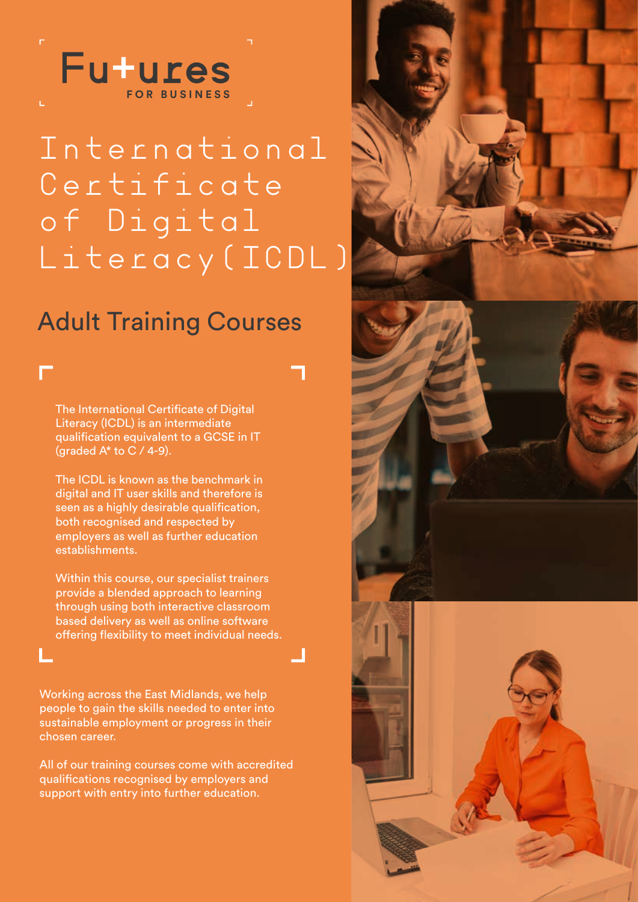

# International Certificate of Digital Literacy (ICDL)

## Adult Training Courses

The International Certificate of Digital Literacy (ICDL) is an intermediate qualification equivalent to a GCSE in IT (graded  $A^*$  to C / 4-9).

The ICDL is known as the benchmark in digital and IT user skills and therefore is seen as a highly desirable qualification, both recognised and respected by employers as well as further education establishments.

Within this course, our specialist trainers provide a blended approach to learning through using both interactive classroom based delivery as well as online software offering flexibility to meet individual needs.

Working across the East Midlands, we help people to gain the skills needed to enter into sustainable employment or progress in their chosen career.

All of our training courses come with accredited qualifications recognised by employers and support with entry into further education.